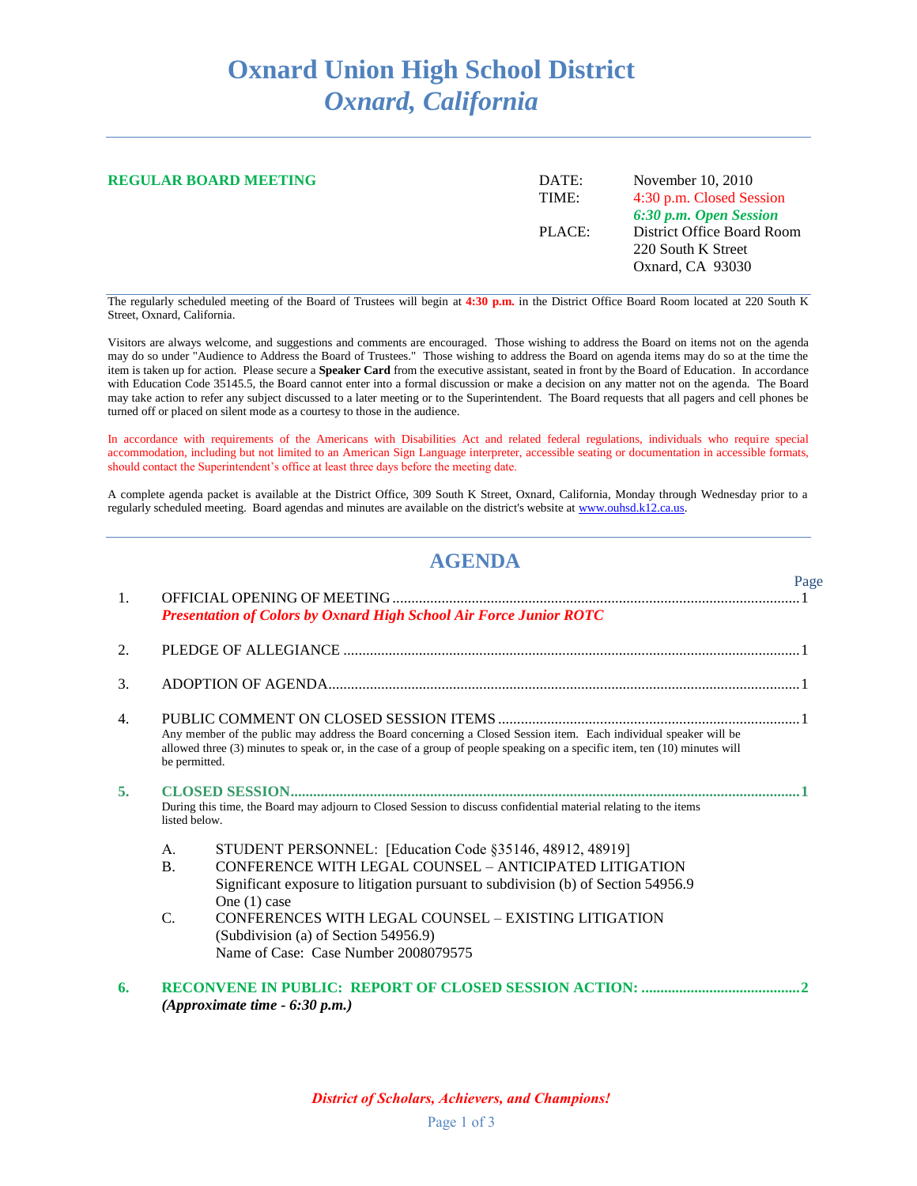## **Oxnard Union High School District** *Oxnard, California*

| <b>REGULAR BOARD MEETING</b> | DATE:<br>TIME: | November 10, 2010<br>4:30 p.m. Closed Session<br>6:30 p.m. Open Session |
|------------------------------|----------------|-------------------------------------------------------------------------|
|                              | PLACE:         | District Office Board Room<br>220 South K Street<br>Oxnard, CA 93030    |

The regularly scheduled meeting of the Board of Trustees will begin at **4:30 p.m.** in the District Office Board Room located at 220 South K Street, Oxnard, California.

Visitors are always welcome, and suggestions and comments are encouraged. Those wishing to address the Board on items not on the agenda may do so under "Audience to Address the Board of Trustees." Those wishing to address the Board on agenda items may do so at the time the item is taken up for action. Please secure a **Speaker Card** from the executive assistant, seated in front by the Board of Education. In accordance with Education Code 35145.5, the Board cannot enter into a formal discussion or make a decision on any matter not on the agenda. The Board may take action to refer any subject discussed to a later meeting or to the Superintendent. The Board requests that all pagers and cell phones be turned off or placed on silent mode as a courtesy to those in the audience.

In accordance with requirements of the Americans with Disabilities Act and related federal regulations, individuals who require special accommodation, including but not limited to an American Sign Language interpreter, accessible seating or documentation in accessible formats, should contact the Superintendent's office at least three days before the meeting date.

A complete agenda packet is available at the District Office, 309 South K Street, Oxnard, California, Monday through Wednesday prior to a regularly scheduled meeting. Board agendas and minutes are available on the district's website a[t www.ouhsd.k12.ca.us.](http://www.ouhsd.k12.ca.us/)

## **AGENDA**

|                |                |                                                                                                                                                                                                                                                | Page |
|----------------|----------------|------------------------------------------------------------------------------------------------------------------------------------------------------------------------------------------------------------------------------------------------|------|
| $\mathbf{1}$ . |                | Presentation of Colors by Oxnard High School Air Force Junior ROTC                                                                                                                                                                             |      |
|                |                |                                                                                                                                                                                                                                                |      |
| 2.             |                |                                                                                                                                                                                                                                                |      |
| 3.             |                |                                                                                                                                                                                                                                                |      |
| 4.             |                |                                                                                                                                                                                                                                                |      |
|                | be permitted.  | Any member of the public may address the Board concerning a Closed Session item. Each individual speaker will be<br>allowed three (3) minutes to speak or, in the case of a group of people speaking on a specific item, ten (10) minutes will |      |
| 5.             |                |                                                                                                                                                                                                                                                |      |
|                | listed below.  | During this time, the Board may adjourn to Closed Session to discuss confidential material relating to the items                                                                                                                               |      |
|                | $A_{\cdot}$    | STUDENT PERSONNEL: [Education Code §35146, 48912, 48919]                                                                                                                                                                                       |      |
|                | $\mathbf{B}$ . | CONFERENCE WITH LEGAL COUNSEL – ANTICIPATED LITIGATION                                                                                                                                                                                         |      |
|                |                | Significant exposure to litigation pursuant to subdivision (b) of Section 54956.9<br>One $(1)$ case                                                                                                                                            |      |
|                | $\mathcal{C}$  | CONFERENCES WITH LEGAL COUNSEL - EXISTING LITIGATION                                                                                                                                                                                           |      |
|                |                | (Subdivision (a) of Section 54956.9)                                                                                                                                                                                                           |      |
|                |                | Name of Case: Case Number 2008079575                                                                                                                                                                                                           |      |
| 6.             |                | (Approximate time $-6:30$ p.m.)                                                                                                                                                                                                                |      |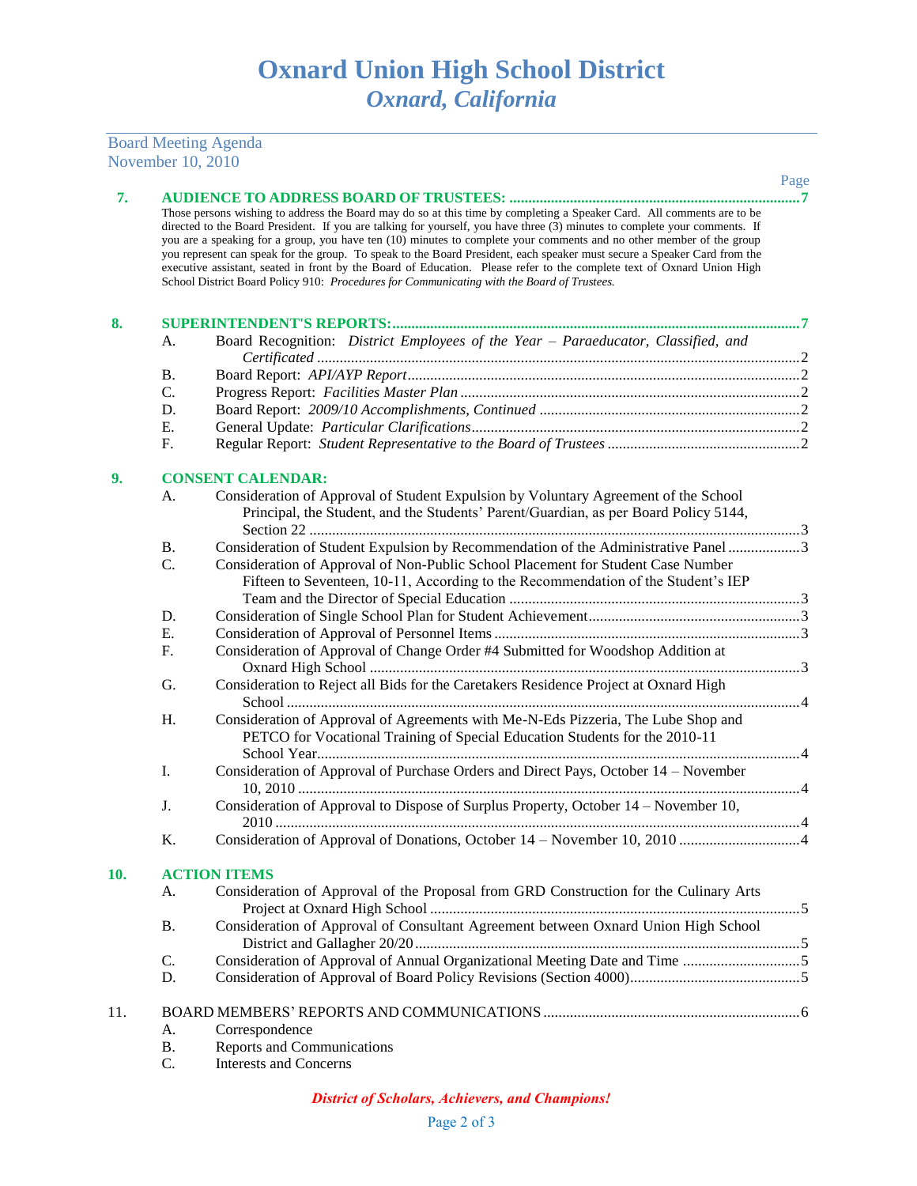|            | November 10, 2010 |                                                                                                                                                                                                                                                                                                                                                                                                                                                                                                                                                                                                                                                                                                                                  |      |
|------------|-------------------|----------------------------------------------------------------------------------------------------------------------------------------------------------------------------------------------------------------------------------------------------------------------------------------------------------------------------------------------------------------------------------------------------------------------------------------------------------------------------------------------------------------------------------------------------------------------------------------------------------------------------------------------------------------------------------------------------------------------------------|------|
|            |                   |                                                                                                                                                                                                                                                                                                                                                                                                                                                                                                                                                                                                                                                                                                                                  | Page |
| 7.         |                   | Those persons wishing to address the Board may do so at this time by completing a Speaker Card. All comments are to be<br>directed to the Board President. If you are talking for yourself, you have three (3) minutes to complete your comments. If<br>you are a speaking for a group, you have ten (10) minutes to complete your comments and no other member of the group<br>you represent can speak for the group. To speak to the Board President, each speaker must secure a Speaker Card from the<br>executive assistant, seated in front by the Board of Education. Please refer to the complete text of Oxnard Union High<br>School District Board Policy 910: Procedures for Communicating with the Board of Trustees. |      |
| 8.         |                   |                                                                                                                                                                                                                                                                                                                                                                                                                                                                                                                                                                                                                                                                                                                                  |      |
|            | А.                | Board Recognition: District Employees of the Year - Paraeducator, Classified, and                                                                                                                                                                                                                                                                                                                                                                                                                                                                                                                                                                                                                                                |      |
|            |                   |                                                                                                                                                                                                                                                                                                                                                                                                                                                                                                                                                                                                                                                                                                                                  |      |
|            | <b>B.</b>         |                                                                                                                                                                                                                                                                                                                                                                                                                                                                                                                                                                                                                                                                                                                                  |      |
|            | C.                |                                                                                                                                                                                                                                                                                                                                                                                                                                                                                                                                                                                                                                                                                                                                  |      |
|            | D.                |                                                                                                                                                                                                                                                                                                                                                                                                                                                                                                                                                                                                                                                                                                                                  |      |
|            | Ε.                |                                                                                                                                                                                                                                                                                                                                                                                                                                                                                                                                                                                                                                                                                                                                  |      |
|            | F.                |                                                                                                                                                                                                                                                                                                                                                                                                                                                                                                                                                                                                                                                                                                                                  |      |
|            |                   |                                                                                                                                                                                                                                                                                                                                                                                                                                                                                                                                                                                                                                                                                                                                  |      |
| 9.         |                   | <b>CONSENT CALENDAR:</b>                                                                                                                                                                                                                                                                                                                                                                                                                                                                                                                                                                                                                                                                                                         |      |
|            | А.                | Consideration of Approval of Student Expulsion by Voluntary Agreement of the School<br>Principal, the Student, and the Students' Parent/Guardian, as per Board Policy 5144,                                                                                                                                                                                                                                                                                                                                                                                                                                                                                                                                                      |      |
|            | <b>B.</b>         | Consideration of Student Expulsion by Recommendation of the Administrative Panel 3                                                                                                                                                                                                                                                                                                                                                                                                                                                                                                                                                                                                                                               |      |
|            | C.                | Consideration of Approval of Non-Public School Placement for Student Case Number<br>Fifteen to Seventeen, 10-11, According to the Recommendation of the Student's IEP                                                                                                                                                                                                                                                                                                                                                                                                                                                                                                                                                            |      |
|            | D.                |                                                                                                                                                                                                                                                                                                                                                                                                                                                                                                                                                                                                                                                                                                                                  |      |
|            | Ε.                |                                                                                                                                                                                                                                                                                                                                                                                                                                                                                                                                                                                                                                                                                                                                  |      |
|            | F.                | Consideration of Approval of Change Order #4 Submitted for Woodshop Addition at                                                                                                                                                                                                                                                                                                                                                                                                                                                                                                                                                                                                                                                  |      |
|            | G.                | Consideration to Reject all Bids for the Caretakers Residence Project at Oxnard High                                                                                                                                                                                                                                                                                                                                                                                                                                                                                                                                                                                                                                             |      |
|            | H.                | Consideration of Approval of Agreements with Me-N-Eds Pizzeria, The Lube Shop and<br>PETCO for Vocational Training of Special Education Students for the 2010-11                                                                                                                                                                                                                                                                                                                                                                                                                                                                                                                                                                 |      |
|            | I.                | Consideration of Approval of Purchase Orders and Direct Pays, October 14 – November                                                                                                                                                                                                                                                                                                                                                                                                                                                                                                                                                                                                                                              |      |
|            | J.                | Consideration of Approval to Dispose of Surplus Property, October 14 - November 10,                                                                                                                                                                                                                                                                                                                                                                                                                                                                                                                                                                                                                                              |      |
|            | K.                |                                                                                                                                                                                                                                                                                                                                                                                                                                                                                                                                                                                                                                                                                                                                  |      |
| <b>10.</b> |                   | <b>ACTION ITEMS</b>                                                                                                                                                                                                                                                                                                                                                                                                                                                                                                                                                                                                                                                                                                              |      |
|            | A.                | Consideration of Approval of the Proposal from GRD Construction for the Culinary Arts                                                                                                                                                                                                                                                                                                                                                                                                                                                                                                                                                                                                                                            |      |
|            | Β.                | Consideration of Approval of Consultant Agreement between Oxnard Union High School                                                                                                                                                                                                                                                                                                                                                                                                                                                                                                                                                                                                                                               |      |
|            | C.                |                                                                                                                                                                                                                                                                                                                                                                                                                                                                                                                                                                                                                                                                                                                                  |      |
|            | D.                |                                                                                                                                                                                                                                                                                                                                                                                                                                                                                                                                                                                                                                                                                                                                  |      |
| 11.        |                   |                                                                                                                                                                                                                                                                                                                                                                                                                                                                                                                                                                                                                                                                                                                                  |      |
|            | А                 | Correspondence                                                                                                                                                                                                                                                                                                                                                                                                                                                                                                                                                                                                                                                                                                                   |      |

- A. Correspondence<br>B. Reports and Con B. Reports and Communications<br>C. Interests and Concerns
- Interests and Concerns

Board Meeting Agenda